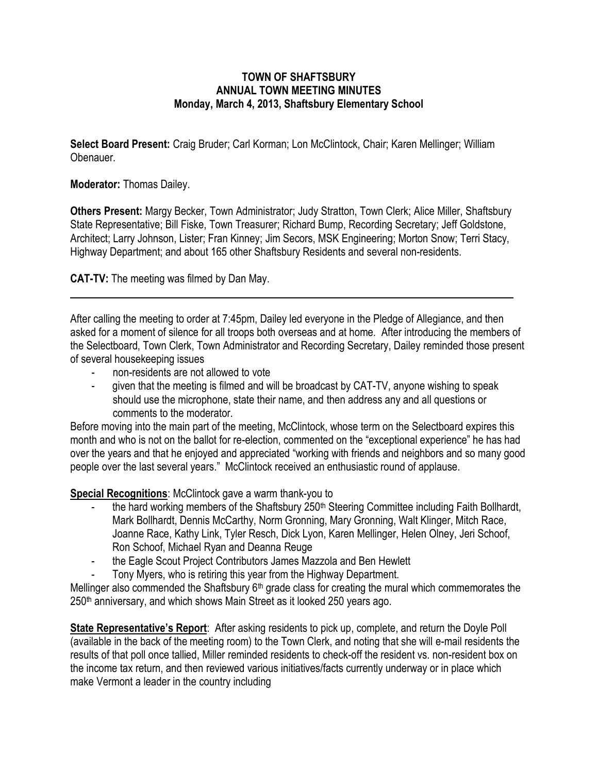## **TOWN OF SHAFTSBURY ANNUAL TOWN MEETING MINUTES Monday, March 4, 2013, Shaftsbury Elementary School**

**Select Board Present:** Craig Bruder; Carl Korman; Lon McClintock, Chair; Karen Mellinger; William Obenauer*.*

## **Moderator:** Thomas Dailey.

**Others Present:** Margy Becker, Town Administrator; Judy Stratton, Town Clerk; Alice Miller, Shaftsbury State Representative; Bill Fiske, Town Treasurer; Richard Bump, Recording Secretary; Jeff Goldstone, Architect; Larry Johnson, Lister; Fran Kinney; Jim Secors, MSK Engineering; Morton Snow; Terri Stacy, Highway Department; and about 165 other Shaftsbury Residents and several non-residents.

**CAT-TV:** The meeting was filmed by Dan May.

After calling the meeting to order at 7:45pm, Dailey led everyone in the Pledge of Allegiance, and then asked for a moment of silence for all troops both overseas and at home. After introducing the members of the Selectboard, Town Clerk, Town Administrator and Recording Secretary, Dailey reminded those present of several housekeeping issues

- non-residents are not allowed to vote
- given that the meeting is filmed and will be broadcast by CAT-TV, anyone wishing to speak should use the microphone, state their name, and then address any and all questions or comments to the moderator.

Before moving into the main part of the meeting, McClintock, whose term on the Selectboard expires this month and who is not on the ballot for re-election, commented on the "exceptional experience" he has had over the years and that he enjoyed and appreciated "working with friends and neighbors and so many good people over the last several years." McClintock received an enthusiastic round of applause.

## **Special Recognitions**: McClintock gave a warm thank-you to

- the hard working members of the Shaftsbury 250<sup>th</sup> Steering Committee including Faith Bollhardt, Mark Bollhardt, Dennis McCarthy, Norm Gronning, Mary Gronning, Walt Klinger, Mitch Race, Joanne Race, Kathy Link, Tyler Resch, Dick Lyon, Karen Mellinger, Helen Olney, Jeri Schoof, Ron Schoof, Michael Ryan and Deanna Reuge
- the Eagle Scout Project Contributors James Mazzola and Ben Hewlett
- Tony Myers, who is retiring this year from the Highway Department.

Mellinger also commended the Shaftsbury  $6<sup>th</sup>$  grade class for creating the mural which commemorates the 250<sup>th</sup> anniversary, and which shows Main Street as it looked 250 years ago.

**State Representative's Report**: After asking residents to pick up, complete, and return the Doyle Poll (available in the back of the meeting room) to the Town Clerk, and noting that she will e-mail residents the results of that poll once tallied, Miller reminded residents to check-off the resident vs. non-resident box on the income tax return, and then reviewed various initiatives/facts currently underway or in place which make Vermont a leader in the country including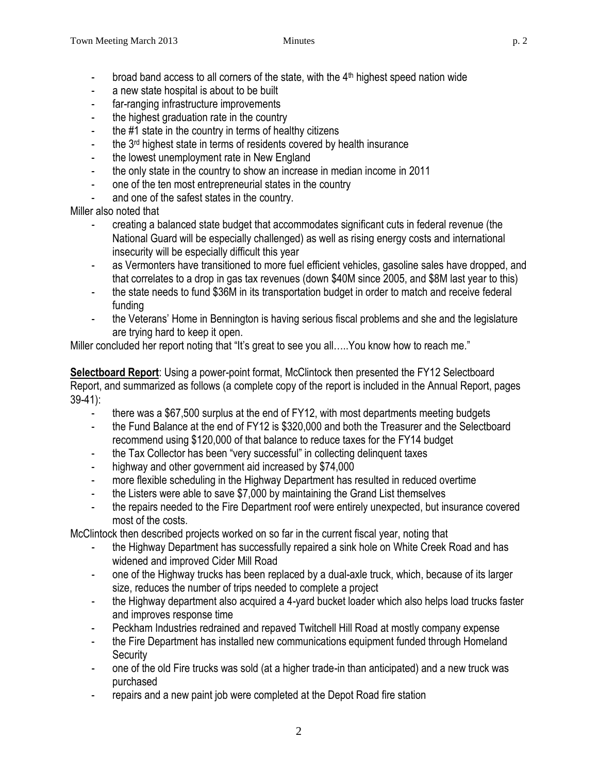- broad band access to all corners of the state, with the  $4<sup>th</sup>$  highest speed nation wide
- a new state hospital is about to be built
- far-ranging infrastructure improvements
- the highest graduation rate in the country
- the #1 state in the country in terms of healthy citizens
- the 3<sup>rd</sup> highest state in terms of residents covered by health insurance
- the lowest unemployment rate in New England
- the only state in the country to show an increase in median income in 2011
- one of the ten most entrepreneurial states in the country
- and one of the safest states in the country.

Miller also noted that

- creating a balanced state budget that accommodates significant cuts in federal revenue (the National Guard will be especially challenged) as well as rising energy costs and international insecurity will be especially difficult this year
- as Vermonters have transitioned to more fuel efficient vehicles, gasoline sales have dropped, and that correlates to a drop in gas tax revenues (down \$40M since 2005, and \$8M last year to this)
- the state needs to fund \$36M in its transportation budget in order to match and receive federal funding
- the Veterans' Home in Bennington is having serious fiscal problems and she and the legislature are trying hard to keep it open.

Miller concluded her report noting that "It's great to see you all…..You know how to reach me."

**Selectboard Report**: Using a power-point format, McClintock then presented the FY12 Selectboard Report, and summarized as follows (a complete copy of the report is included in the Annual Report, pages 39-41):

- there was a \$67,500 surplus at the end of FY12, with most departments meeting budgets
- the Fund Balance at the end of FY12 is \$320,000 and both the Treasurer and the Selectboard recommend using \$120,000 of that balance to reduce taxes for the FY14 budget
- the Tax Collector has been "very successful" in collecting delinquent taxes
- highway and other government aid increased by \$74,000
- more flexible scheduling in the Highway Department has resulted in reduced overtime
- the Listers were able to save \$7,000 by maintaining the Grand List themselves
- the repairs needed to the Fire Department roof were entirely unexpected, but insurance covered most of the costs.

McClintock then described projects worked on so far in the current fiscal year, noting that

- the Highway Department has successfully repaired a sink hole on White Creek Road and has widened and improved Cider Mill Road
- one of the Highway trucks has been replaced by a dual-axle truck, which, because of its larger size, reduces the number of trips needed to complete a project
- the Highway department also acquired a 4-yard bucket loader which also helps load trucks faster and improves response time
- Peckham Industries redrained and repaved Twitchell Hill Road at mostly company expense
- the Fire Department has installed new communications equipment funded through Homeland **Security**
- one of the old Fire trucks was sold (at a higher trade-in than anticipated) and a new truck was purchased
- repairs and a new paint job were completed at the Depot Road fire station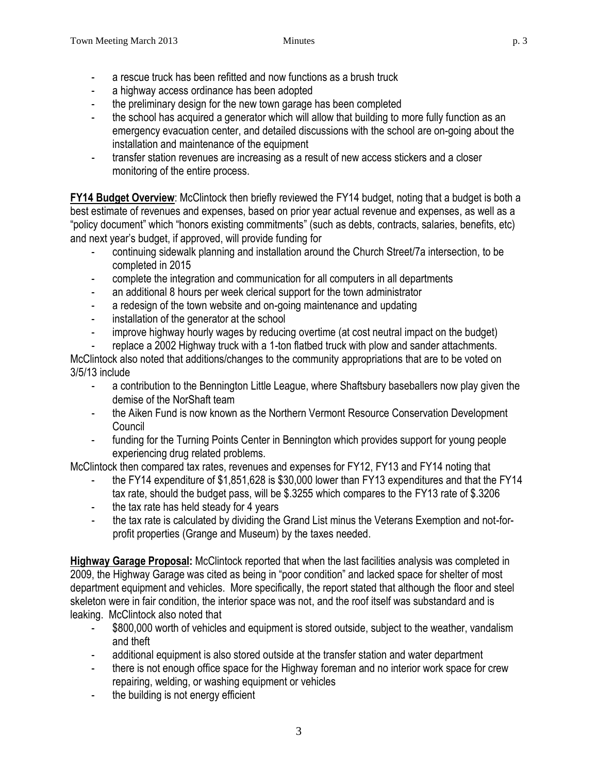- a rescue truck has been refitted and now functions as a brush truck
- a highway access ordinance has been adopted
- the preliminary design for the new town garage has been completed
- the school has acquired a generator which will allow that building to more fully function as an emergency evacuation center, and detailed discussions with the school are on-going about the installation and maintenance of the equipment
- transfer station revenues are increasing as a result of new access stickers and a closer monitoring of the entire process.

**FY14 Budget Overview**: McClintock then briefly reviewed the FY14 budget, noting that a budget is both a best estimate of revenues and expenses, based on prior year actual revenue and expenses, as well as a "policy document" which "honors existing commitments" (such as debts, contracts, salaries, benefits, etc) and next year's budget, if approved, will provide funding for

- continuing sidewalk planning and installation around the Church Street/7a intersection, to be completed in 2015
- complete the integration and communication for all computers in all departments
- an additional 8 hours per week clerical support for the town administrator
- a redesign of the town website and on-going maintenance and updating
- installation of the generator at the school
- improve highway hourly wages by reducing overtime (at cost neutral impact on the budget)

replace a 2002 Highway truck with a 1-ton flatbed truck with plow and sander attachments. McClintock also noted that additions/changes to the community appropriations that are to be voted on 3/5/13 include

- a contribution to the Bennington Little League, where Shaftsbury baseballers now play given the demise of the NorShaft team
- the Aiken Fund is now known as the Northern Vermont Resource Conservation Development Council
- funding for the Turning Points Center in Bennington which provides support for young people experiencing drug related problems.

McClintock then compared tax rates, revenues and expenses for FY12, FY13 and FY14 noting that

- the FY14 expenditure of \$1,851,628 is \$30,000 lower than FY13 expenditures and that the FY14 tax rate, should the budget pass, will be \$.3255 which compares to the FY13 rate of \$.3206
- the tax rate has held steady for 4 years
- the tax rate is calculated by dividing the Grand List minus the Veterans Exemption and not-forprofit properties (Grange and Museum) by the taxes needed.

**Highway Garage Proposal:** McClintock reported that when the last facilities analysis was completed in 2009, the Highway Garage was cited as being in "poor condition" and lacked space for shelter of most department equipment and vehicles. More specifically, the report stated that although the floor and steel skeleton were in fair condition, the interior space was not, and the roof itself was substandard and is leaking. McClintock also noted that

- \$800,000 worth of vehicles and equipment is stored outside, subject to the weather, vandalism and theft
- additional equipment is also stored outside at the transfer station and water department
- there is not enough office space for the Highway foreman and no interior work space for crew repairing, welding, or washing equipment or vehicles
- the building is not energy efficient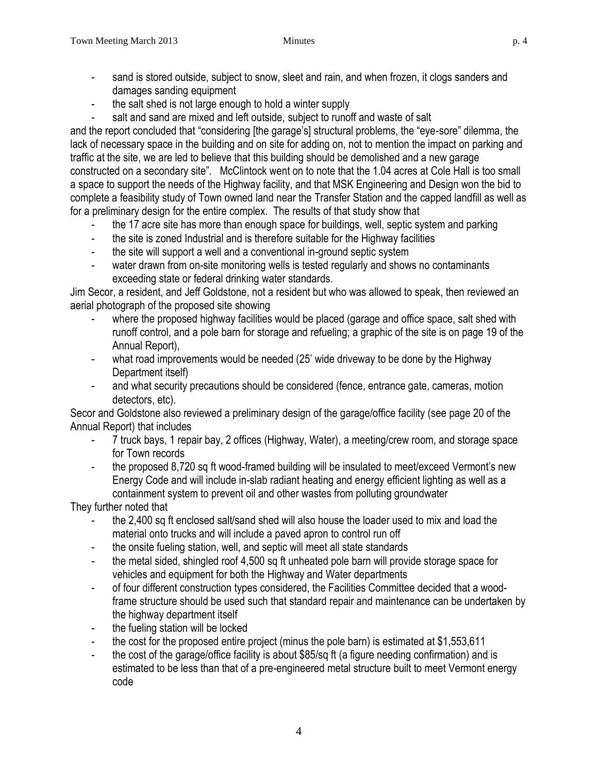- sand is stored outside, subject to snow, sleet and rain, and when frozen, it clogs sanders and damages sanding equipment
- the salt shed is not large enough to hold a winter supply
- salt and sand are mixed and left outside, subject to runoff and waste of salt

and the report concluded that "considering [the garage's] structural problems, the "eye-sore" dilemma, the lack of necessary space in the building and on site for adding on, not to mention the impact on parking and traffic at the site, we are led to believe that this building should be demolished and a new garage constructed on a secondary site". McClintock went on to note that the 1.04 acres at Cole Hall is too small a space to support the needs of the Highway facility, and that MSK Engineering and Design won the bid to complete a feasibility study of Town owned land near the Transfer Station and the capped landfill as well as for a preliminary design for the entire complex. The results of that study show that

- the 17 acre site has more than enough space for buildings, well, septic system and parking
- the site is zoned Industrial and is therefore suitable for the Highway facilities
- the site will support a well and a conventional in-ground septic system
- water drawn from on-site monitoring wells is tested regularly and shows no contaminants exceeding state or federal drinking water standards.

Jim Secor, a resident, and Jeff Goldstone, not a resident but who was allowed to speak, then reviewed an aerial photograph of the proposed site showing

- where the proposed highway facilities would be placed (garage and office space, salt shed with runoff control, and a pole barn for storage and refueling; a graphic of the site is on page 19 of the Annual Report),
- what road improvements would be needed (25' wide driveway to be done by the Highway Department itself)
- and what security precautions should be considered (fence, entrance gate, cameras, motion detectors, etc).

Secor and Goldstone also reviewed a preliminary design of the garage/office facility (see page 20 of the Annual Report) that includes

- 7 truck bays, 1 repair bay, 2 offices (Highway, Water), a meeting/crew room, and storage space for Town records
- the proposed 8,720 sq ft wood-framed building will be insulated to meet/exceed Vermont's new Energy Code and will include in-slab radiant heating and energy efficient lighting as well as a containment system to prevent oil and other wastes from polluting groundwater

They further noted that

- the 2,400 sq ft enclosed salt/sand shed will also house the loader used to mix and load the material onto trucks and will include a paved apron to control run off
- the onsite fueling station, well, and septic will meet all state standards
- the metal sided, shingled roof 4,500 sq ft unheated pole barn will provide storage space for vehicles and equipment for both the Highway and Water departments
- of four different construction types considered, the Facilities Committee decided that a woodframe structure should be used such that standard repair and maintenance can be undertaken by the highway department itself
- the fueling station will be locked
- the cost for the proposed entire project (minus the pole barn) is estimated at \$1,553,611
- the cost of the garage/office facility is about \$85/sq ft (a figure needing confirmation) and is estimated to be less than that of a pre-engineered metal structure built to meet Vermont energy code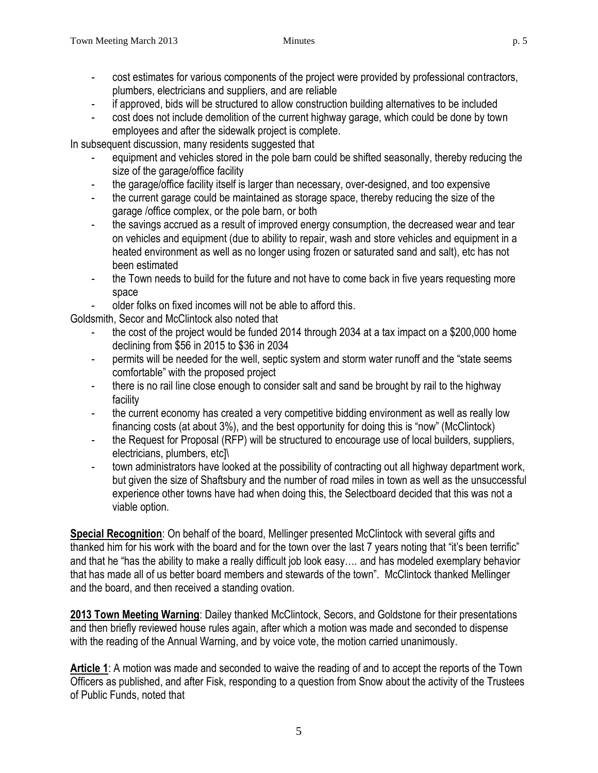- cost estimates for various components of the project were provided by professional contractors, plumbers, electricians and suppliers, and are reliable
- if approved, bids will be structured to allow construction building alternatives to be included
- cost does not include demolition of the current highway garage, which could be done by town employees and after the sidewalk project is complete.

In subsequent discussion, many residents suggested that

- equipment and vehicles stored in the pole barn could be shifted seasonally, thereby reducing the size of the garage/office facility
- the garage/office facility itself is larger than necessary, over-designed, and too expensive
- the current garage could be maintained as storage space, thereby reducing the size of the garage /office complex, or the pole barn, or both
- the savings accrued as a result of improved energy consumption, the decreased wear and tear on vehicles and equipment (due to ability to repair, wash and store vehicles and equipment in a heated environment as well as no longer using frozen or saturated sand and salt), etc has not been estimated
- the Town needs to build for the future and not have to come back in five years requesting more space
- older folks on fixed incomes will not be able to afford this.

Goldsmith, Secor and McClintock also noted that

- the cost of the project would be funded 2014 through 2034 at a tax impact on a \$200,000 home declining from \$56 in 2015 to \$36 in 2034
- permits will be needed for the well, septic system and storm water runoff and the "state seems" comfortable" with the proposed project
- there is no rail line close enough to consider salt and sand be brought by rail to the highway facility
- the current economy has created a very competitive bidding environment as well as really low financing costs (at about 3%), and the best opportunity for doing this is "now" (McClintock)
- the Request for Proposal (RFP) will be structured to encourage use of local builders, suppliers, electricians, plumbers, etc]\
- town administrators have looked at the possibility of contracting out all highway department work, but given the size of Shaftsbury and the number of road miles in town as well as the unsuccessful experience other towns have had when doing this, the Selectboard decided that this was not a viable option.

**Special Recognition**: On behalf of the board, Mellinger presented McClintock with several gifts and thanked him for his work with the board and for the town over the last 7 years noting that "it's been terrific" and that he "has the ability to make a really difficult job look easy…. and has modeled exemplary behavior that has made all of us better board members and stewards of the town". McClintock thanked Mellinger and the board, and then received a standing ovation.

**2013 Town Meeting Warning**: Dailey thanked McClintock, Secors, and Goldstone for their presentations and then briefly reviewed house rules again, after which a motion was made and seconded to dispense with the reading of the Annual Warning, and by voice vote, the motion carried unanimously.

Article 1: A motion was made and seconded to waive the reading of and to accept the reports of the Town Officers as published, and after Fisk, responding to a question from Snow about the activity of the Trustees of Public Funds, noted that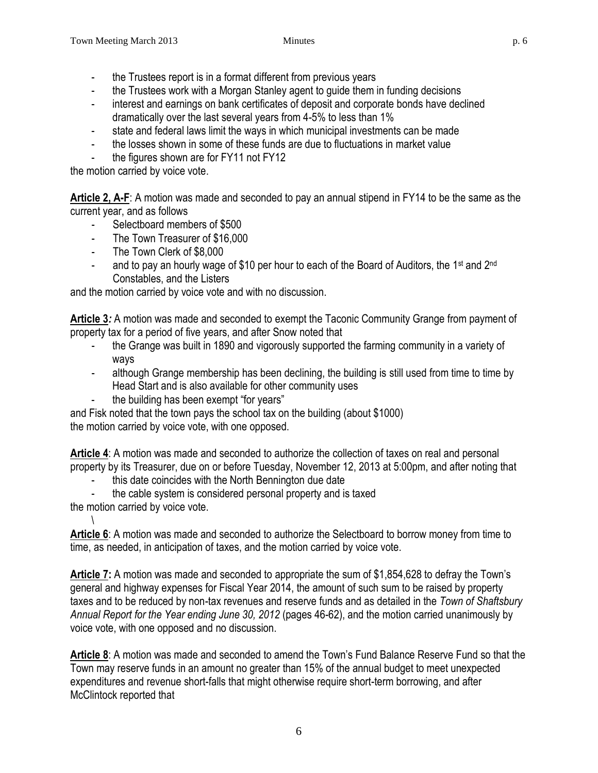- the Trustees report is in a format different from previous years
- the Trustees work with a Morgan Stanley agent to guide them in funding decisions
- interest and earnings on bank certificates of deposit and corporate bonds have declined dramatically over the last several years from 4-5% to less than 1%
- state and federal laws limit the ways in which municipal investments can be made
- the losses shown in some of these funds are due to fluctuations in market value
- the figures shown are for FY11 not FY12

the motion carried by voice vote.

**Article 2, A-F**: A motion was made and seconded to pay an annual stipend in FY14 to be the same as the current year, and as follows

- Selectboard members of \$500
- The Town Treasurer of \$16,000
- The Town Clerk of \$8,000
- and to pay an hourly wage of \$10 per hour to each of the Board of Auditors, the 1<sup>st</sup> and 2<sup>nd</sup> Constables, and the Listers

and the motion carried by voice vote and with no discussion.

**Article 3***:* A motion was made and seconded to exempt the Taconic Community Grange from payment of property tax for a period of five years, and after Snow noted that

- the Grange was built in 1890 and vigorously supported the farming community in a variety of ways
- although Grange membership has been declining, the building is still used from time to time by Head Start and is also available for other community uses
- the building has been exempt "for years"

and Fisk noted that the town pays the school tax on the building (about \$1000) the motion carried by voice vote, with one opposed.

**Article 4**: A motion was made and seconded to authorize the collection of taxes on real and personal property by its Treasurer, due on or before Tuesday, November 12, 2013 at 5:00pm, and after noting that

this date coincides with the North Bennington due date

the cable system is considered personal property and is taxed

the motion carried by voice vote. \

**Article 6**: A motion was made and seconded to authorize the Selectboard to borrow money from time to time, as needed, in anticipation of taxes, and the motion carried by voice vote.

**Article 7:** A motion was made and seconded to appropriate the sum of \$1,854,628 to defray the Town's general and highway expenses for Fiscal Year 2014, the amount of such sum to be raised by property taxes and to be reduced by non-tax revenues and reserve funds and as detailed in the *Town of Shaftsbury Annual Report for the Year ending June 30, 2012* (pages 46-62), and the motion carried unanimously by voice vote, with one opposed and no discussion.

**Article 8**: A motion was made and seconded to amend the Town's Fund Balance Reserve Fund so that the Town may reserve funds in an amount no greater than 15% of the annual budget to meet unexpected expenditures and revenue short-falls that might otherwise require short-term borrowing, and after McClintock reported that